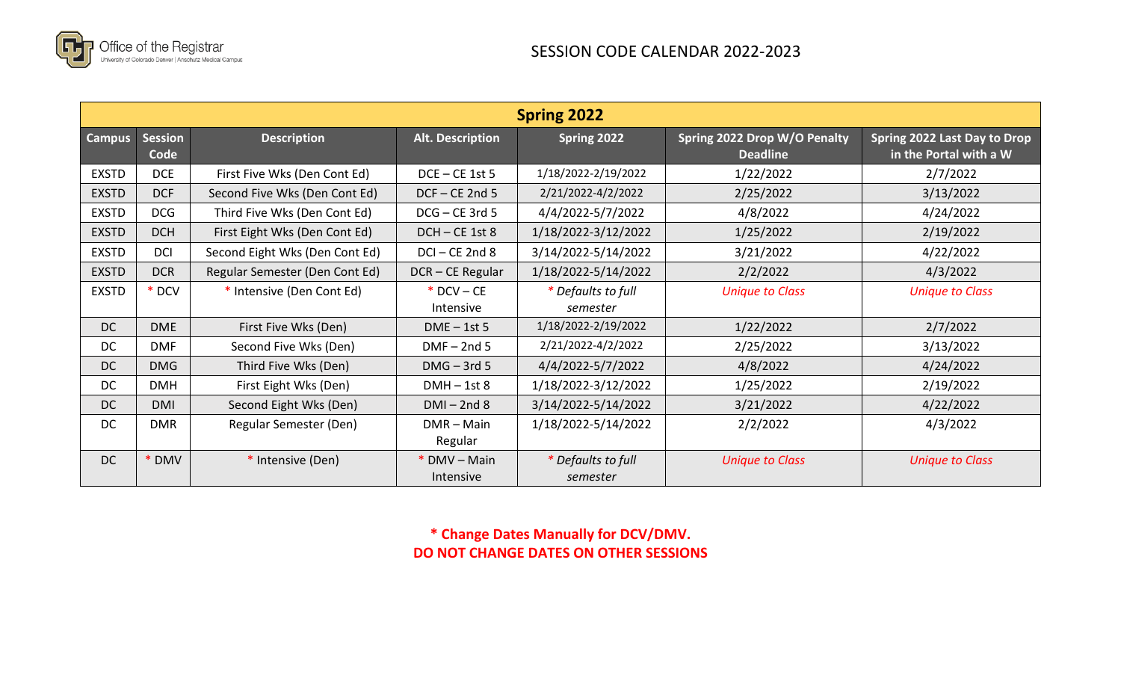

| <b>Spring 2022</b> |                        |                                |                           |                                |                                                 |                                                        |
|--------------------|------------------------|--------------------------------|---------------------------|--------------------------------|-------------------------------------------------|--------------------------------------------------------|
| <b>Campus</b>      | <b>Session</b><br>Code | <b>Description</b>             | <b>Alt. Description</b>   | Spring 2022                    | Spring 2022 Drop W/O Penalty<br><b>Deadline</b> | Spring 2022 Last Day to Drop<br>in the Portal with a W |
| <b>EXSTD</b>       | <b>DCE</b>             | First Five Wks (Den Cont Ed)   | $DCE - CE$ 1st 5          | 1/18/2022-2/19/2022            | 1/22/2022                                       | 2/7/2022                                               |
| <b>EXSTD</b>       | DCF                    | Second Five Wks (Den Cont Ed)  | $DCF - CE$ 2nd 5          | 2/21/2022-4/2/2022             | 2/25/2022                                       | 3/13/2022                                              |
| <b>EXSTD</b>       | <b>DCG</b>             | Third Five Wks (Den Cont Ed)   | DCG-CE 3rd 5              | 4/4/2022-5/7/2022              | 4/8/2022                                        | 4/24/2022                                              |
| <b>EXSTD</b>       | <b>DCH</b>             | First Eight Wks (Den Cont Ed)  | DCH-CE 1st 8              | 1/18/2022-3/12/2022            | 1/25/2022                                       | 2/19/2022                                              |
| <b>EXSTD</b>       | <b>DCI</b>             | Second Eight Wks (Den Cont Ed) | $DCI - CE$ 2nd 8          | 3/14/2022-5/14/2022            | 3/21/2022                                       | 4/22/2022                                              |
| <b>EXSTD</b>       | <b>DCR</b>             | Regular Semester (Den Cont Ed) | DCR-CE Regular            | 1/18/2022-5/14/2022            | 2/2/2022                                        | 4/3/2022                                               |
| <b>EXSTD</b>       | * DCV                  | * Intensive (Den Cont Ed)      | $*$ DCV – CE<br>Intensive | * Defaults to full<br>semester | <b>Unique to Class</b>                          | <b>Unique to Class</b>                                 |
| <b>DC</b>          | <b>DME</b>             | First Five Wks (Den)           | $DME - 1st$ 5             | 1/18/2022-2/19/2022            | 1/22/2022                                       | 2/7/2022                                               |
| DC                 | <b>DMF</b>             | Second Five Wks (Den)          | $DMF - 2nd5$              | 2/21/2022-4/2/2022             | 2/25/2022                                       | 3/13/2022                                              |
| DC                 | <b>DMG</b>             | Third Five Wks (Den)           | $DMG - 3rd 5$             | 4/4/2022-5/7/2022              | 4/8/2022                                        | 4/24/2022                                              |
| <b>DC</b>          | <b>DMH</b>             | First Eight Wks (Den)          | $DMH - 1st8$              | 1/18/2022-3/12/2022            | 1/25/2022                                       | 2/19/2022                                              |
| DC.                | DMI                    | Second Eight Wks (Den)         | $DMI - 2nd8$              | 3/14/2022-5/14/2022            | 3/21/2022                                       | 4/22/2022                                              |
| <b>DC</b>          | <b>DMR</b>             | Regular Semester (Den)         | $DMR - Main$<br>Regular   | 1/18/2022-5/14/2022            | 2/2/2022                                        | 4/3/2022                                               |
| <b>DC</b>          | <b>DMV</b>             | * Intensive (Den)              | * DMV – Main<br>Intensive | * Defaults to full<br>semester | <b>Unique to Class</b>                          | <b>Unique to Class</b>                                 |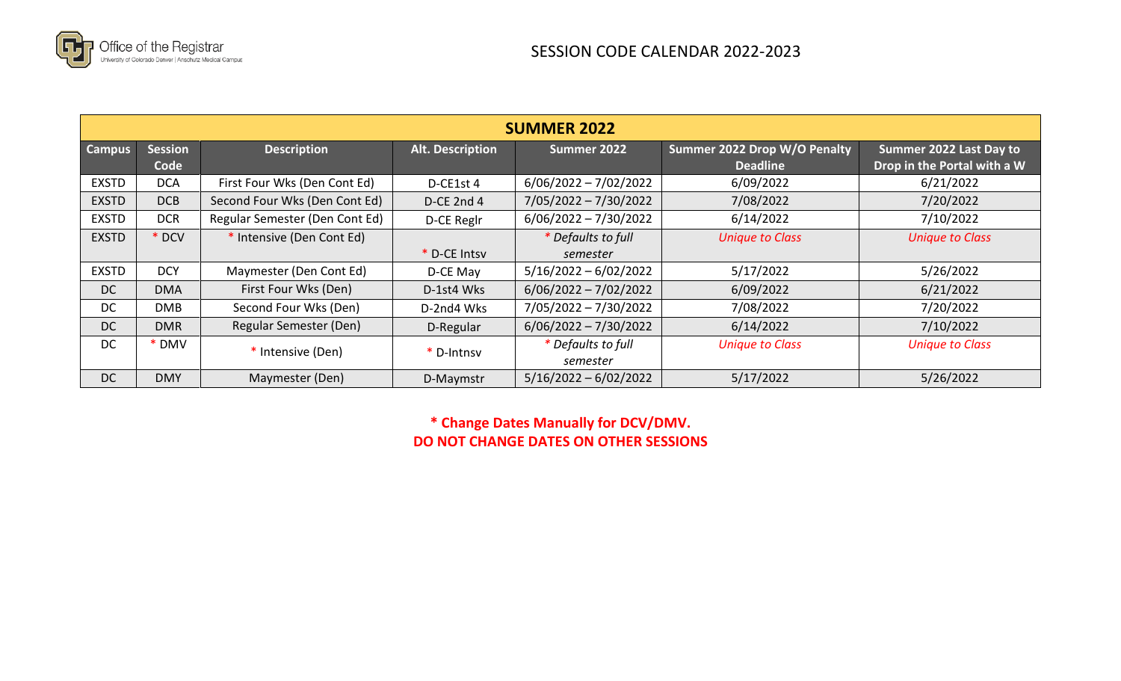

| <b>SUMMER 2022</b> |                        |                                |                         |                                |                                                 |                                                        |
|--------------------|------------------------|--------------------------------|-------------------------|--------------------------------|-------------------------------------------------|--------------------------------------------------------|
| <b>Campus</b>      | <b>Session</b><br>Code | <b>Description</b>             | <b>Alt. Description</b> | Summer 2022                    | Summer 2022 Drop W/O Penalty<br><b>Deadline</b> | Summer 2022 Last Day to<br>Drop in the Portal with a W |
| <b>EXSTD</b>       | <b>DCA</b>             | First Four Wks (Den Cont Ed)   | D-CE1st 4               | $6/06/2022 - 7/02/2022$        | 6/09/2022                                       | 6/21/2022                                              |
| <b>EXSTD</b>       | DCB                    | Second Four Wks (Den Cont Ed)  | D-CE 2nd 4              | $7/05/2022 - 7/30/2022$        | 7/08/2022                                       | 7/20/2022                                              |
| <b>EXSTD</b>       | <b>DCR</b>             | Regular Semester (Den Cont Ed) | D-CE Reglr              | $6/06/2022 - 7/30/2022$        | 6/14/2022                                       | 7/10/2022                                              |
| <b>EXSTD</b>       | * DCV                  | * Intensive (Den Cont Ed)      |                         | * Defaults to full             | <b>Unique to Class</b>                          | <b>Unique to Class</b>                                 |
|                    |                        |                                | * D-CE Intsv            | semester                       |                                                 |                                                        |
| <b>EXSTD</b>       | <b>DCY</b>             | Maymester (Den Cont Ed)        | D-CE May                | $5/16/2022 - 6/02/2022$        | 5/17/2022                                       | 5/26/2022                                              |
| DC                 | <b>DMA</b>             | First Four Wks (Den)           | D-1st4 Wks              | $6/06/2022 - 7/02/2022$        | 6/09/2022                                       | 6/21/2022                                              |
| DC.                | <b>DMB</b>             | Second Four Wks (Den)          | D-2nd4 Wks              | 7/05/2022 - 7/30/2022          | 7/08/2022                                       | 7/20/2022                                              |
| <b>DC</b>          | <b>DMR</b>             | Regular Semester (Den)         | D-Regular               | $6/06/2022 - 7/30/2022$        | 6/14/2022                                       | 7/10/2022                                              |
| DC                 | <b>DMV</b>             | * Intensive (Den)              | * D-Intnsy              | * Defaults to full<br>semester | <b>Unique to Class</b>                          | <b>Unique to Class</b>                                 |
| <b>DC</b>          | <b>DMY</b>             | Maymester (Den)                | D-Maymstr               | $5/16/2022 - 6/02/2022$        | 5/17/2022                                       | 5/26/2022                                              |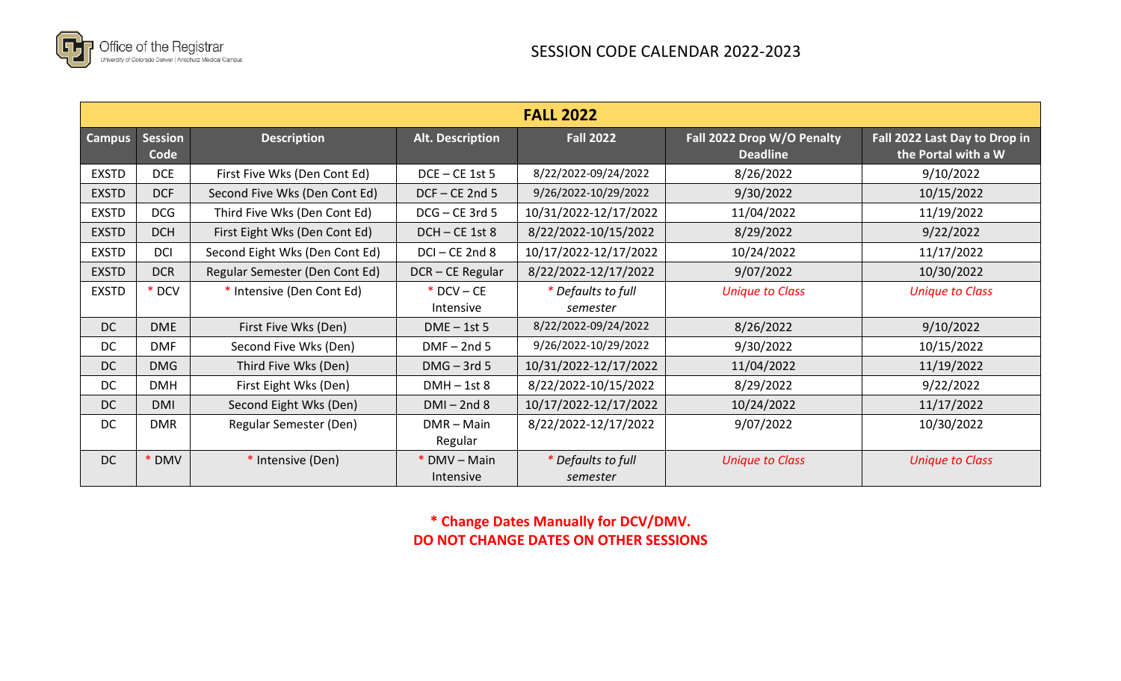

| <b>FALL 2022</b> |                        |                                |                           |                                |                                               |                                                      |
|------------------|------------------------|--------------------------------|---------------------------|--------------------------------|-----------------------------------------------|------------------------------------------------------|
| <b>Campus</b>    | <b>Session</b><br>Code | <b>Description</b>             | <b>Alt. Description</b>   | <b>Fall 2022</b>               | Fall 2022 Drop W/O Penalty<br><b>Deadline</b> | Fall 2022 Last Day to Drop in<br>the Portal with a W |
| <b>EXSTD</b>     | <b>DCE</b>             | First Five Wks (Den Cont Ed)   | $DCE - CE$ 1st 5          | 8/22/2022-09/24/2022           | 8/26/2022                                     | 9/10/2022                                            |
| <b>EXSTD</b>     | <b>DCF</b>             | Second Five Wks (Den Cont Ed)  | $DCF - CE$ 2nd 5          | 9/26/2022-10/29/2022           | 9/30/2022                                     | 10/15/2022                                           |
| <b>EXSTD</b>     | <b>DCG</b>             | Third Five Wks (Den Cont Ed)   | DCG-CE 3rd 5              | 10/31/2022-12/17/2022          | 11/04/2022                                    | 11/19/2022                                           |
| <b>EXSTD</b>     | <b>DCH</b>             | First Eight Wks (Den Cont Ed)  | DCH-CE 1st 8              | 8/22/2022-10/15/2022           | 8/29/2022                                     | 9/22/2022                                            |
| <b>EXSTD</b>     | <b>DCI</b>             | Second Eight Wks (Den Cont Ed) | DCI-CE 2nd 8              | 10/17/2022-12/17/2022          | 10/24/2022                                    | 11/17/2022                                           |
| <b>EXSTD</b>     | <b>DCR</b>             | Regular Semester (Den Cont Ed) | DCR-CE Regular            | 8/22/2022-12/17/2022           | 9/07/2022                                     | 10/30/2022                                           |
| <b>EXSTD</b>     | * DCV                  | * Intensive (Den Cont Ed)      | $*$ DCV – CE<br>Intensive | * Defaults to full<br>semester | <b>Unique to Class</b>                        | <b>Unique to Class</b>                               |
| DC               | <b>DME</b>             | First Five Wks (Den)           | $DME - 1st$ 5             | 8/22/2022-09/24/2022           | 8/26/2022                                     | 9/10/2022                                            |
| <b>DC</b>        | <b>DMF</b>             | Second Five Wks (Den)          | $DMF - 2nd5$              | 9/26/2022-10/29/2022           | 9/30/2022                                     | 10/15/2022                                           |
| DC               | <b>DMG</b>             | Third Five Wks (Den)           | $DMG - 3rd 5$             | 10/31/2022-12/17/2022          | 11/04/2022                                    | 11/19/2022                                           |
| DC               | <b>DMH</b>             | First Eight Wks (Den)          | $DMH - 1st8$              | 8/22/2022-10/15/2022           | 8/29/2022                                     | 9/22/2022                                            |
| DC               | <b>DMI</b>             | Second Eight Wks (Den)         | $DMI - 2nd8$              | 10/17/2022-12/17/2022          | 10/24/2022                                    | 11/17/2022                                           |
| <b>DC</b>        | <b>DMR</b>             | Regular Semester (Den)         | $DMR - Main$<br>Regular   | 8/22/2022-12/17/2022           | 9/07/2022                                     | 10/30/2022                                           |
| <b>DC</b>        | <b>DMV</b>             | * Intensive (Den)              | * DMV – Main<br>Intensive | * Defaults to full<br>semester | <b>Unique to Class</b>                        | <b>Unique to Class</b>                               |